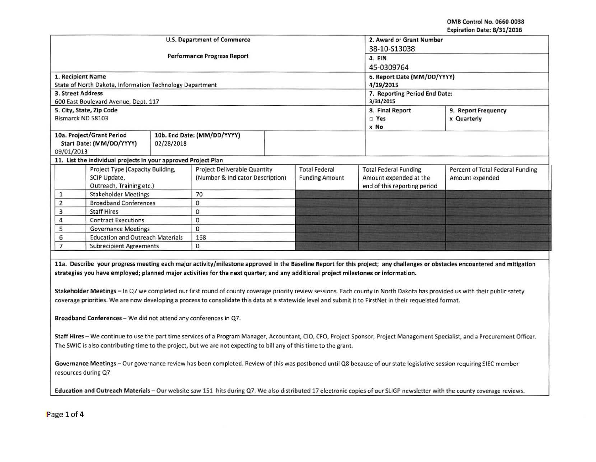OMB Control No. 0660-0038 Expiration Date: 8/31/2016

| <b>U.S. Department of Commerce</b>           |                                                                |                                    |                                                                         |  |                                               | 2. Award or Grant Number     |                                                     |  |  |
|----------------------------------------------|----------------------------------------------------------------|------------------------------------|-------------------------------------------------------------------------|--|-----------------------------------------------|------------------------------|-----------------------------------------------------|--|--|
|                                              |                                                                |                                    | 38-10-S13038                                                            |  |                                               |                              |                                                     |  |  |
|                                              |                                                                | <b>Performance Progress Report</b> | 4. EIN                                                                  |  |                                               |                              |                                                     |  |  |
|                                              |                                                                |                                    | 45-0309764                                                              |  |                                               |                              |                                                     |  |  |
|                                              | 1. Recipient Name                                              |                                    | 6. Report Date (MM/DD/YYYY)                                             |  |                                               |                              |                                                     |  |  |
|                                              | State of North Dakota, Information Technology Department       |                                    | 4/29/2015                                                               |  |                                               |                              |                                                     |  |  |
| 3. Street Address                            |                                                                |                                    |                                                                         |  |                                               |                              | 7. Reporting Period End Date:                       |  |  |
|                                              | 600 East Boulevard Avenue, Dept. 117                           |                                    | 3/31/2015                                                               |  |                                               |                              |                                                     |  |  |
| 5. City, State, Zip Code                     |                                                                |                                    |                                                                         |  |                                               | 8. Final Report              | 9. Report Frequency                                 |  |  |
| Bismarck ND 58103                            |                                                                |                                    |                                                                         |  |                                               | $\square$ Yes                | x Quarterly                                         |  |  |
|                                              |                                                                |                                    |                                                                         |  |                                               | x No                         |                                                     |  |  |
| 10a. Project/Grant Period                    |                                                                |                                    | 10b. End Date: (MM/DD/YYYY)                                             |  |                                               |                              |                                                     |  |  |
| Start Date: (MM/DD/YYYY)<br>02/28/2018       |                                                                |                                    |                                                                         |  |                                               |                              |                                                     |  |  |
| 09/01/2013                                   |                                                                |                                    |                                                                         |  |                                               |                              |                                                     |  |  |
|                                              | 11. List the individual projects in your approved Project Plan |                                    |                                                                         |  |                                               |                              |                                                     |  |  |
|                                              | Project Type (Capacity Building,<br>SCIP Update,               |                                    | <b>Project Deliverable Quantity</b><br>(Number & Indicator Description) |  | <b>Total Federal</b><br><b>Funding Amount</b> | <b>Total Federal Funding</b> | Percent of Total Federal Funding<br>Amount expended |  |  |
|                                              |                                                                |                                    |                                                                         |  |                                               | Amount expended at the       |                                                     |  |  |
|                                              | Outreach, Training etc.)                                       |                                    |                                                                         |  |                                               | end of this reporting period |                                                     |  |  |
|                                              | <b>Stakeholder Meetings</b>                                    |                                    | 70                                                                      |  |                                               |                              |                                                     |  |  |
| 2                                            | <b>Broadband Conferences</b>                                   |                                    | 0                                                                       |  |                                               |                              |                                                     |  |  |
| <b>Staff Hires</b><br>3                      |                                                                | 0                                  |                                                                         |  |                                               |                              |                                                     |  |  |
| <b>Contract Executions</b>                   |                                                                | $\mathbf{0}$                       |                                                                         |  |                                               |                              |                                                     |  |  |
| <b>Governance Meetings</b><br>5              |                                                                | $\mathbf 0$                        |                                                                         |  |                                               |                              |                                                     |  |  |
| <b>Education and Outreach Materials</b><br>6 |                                                                | 168                                |                                                                         |  |                                               |                              |                                                     |  |  |
| <b>Subrecipient Agreements</b>               |                                                                | 0                                  |                                                                         |  |                                               |                              |                                                     |  |  |

strategies you have employed; planned major activities for the next quarter; and any additional project milestones or information.

Stakeholder Meetings - In Q7 we completed our first round of county coverage priority review sessions. Each county in North Dakota has provided us with their public safety coverage priorities. We are now developing a process to consolidate this data at a statewide level and submit it to First Net in their requeisted format.

Broadband Conferences - We did not attend any conferences in Q7.

Staff Hires - We continue to use the part time services of a Program Manager, Accountant, CIO, CFO, Project Sponsor, Project Management Specialist, and a Procurement Officer. The SWIC is also contributing time to the project, but we are not expecting to bill any of this time to the grant.

Governance Meetings - Our governance review has been completed. Review of this was postboned until Q8 because of our state legislative session requiring SIEC member resources during Q7.

Education and Outreach Materials - Our website saw 151 hits during Q7. We also distributed 17 electronic copies of our SLIGP newsletter with the county coverage reviews.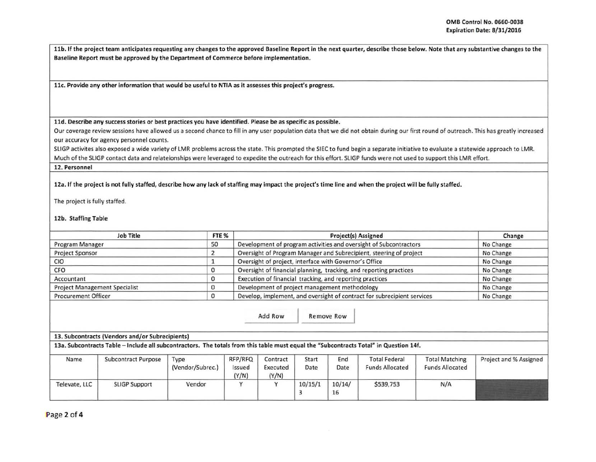11b. If the project team anticipates requesting any changes to the approved Baseline Report in the next quarter, describe those below. Note that any substantive changes to the Baseline Report must be approved by the Department of Commerce before implementation.

llc. Provide any other information that would be useful to NTIA as it assesses this project's progress.

## lld. Describe any success stories or best practices you have identified. Please be as specific as possible.

Our coverage review sessions have allowed us a second chance to fill in any user population data that we did not obtain during our first round of outreach. This has greatly increased our accuracy for agency personnel counts.

SLIGP activites also exposed a wide variety of LMR problems across the state. This prompted the SIEC to fund begin a separate initiative to evaluate a statewide approach to LMR. Much of the SLIGP contact data and relateionships were leveraged to expedite the outreach for this effort. SLIGP funds were not used to support this lMR effort.

12. Personnel

12a. If the project is not fully staffed, describe how any lack of staffing may impact the project's time line and when the project will be fully staffed.

The project is fully staffed.

12b. Staffing Table

|                                           | <b>Job Title</b>                                                                                                                      | FTE %            |                 |                                                                         |           | <b>Project(s) Assigned</b> |                        |                        | Change                 |
|-------------------------------------------|---------------------------------------------------------------------------------------------------------------------------------------|------------------|-----------------|-------------------------------------------------------------------------|-----------|----------------------------|------------------------|------------------------|------------------------|
| 50<br>Program Manager                     |                                                                                                                                       |                  |                 | Development of program activities and oversight of Subcontractors       |           | No Change                  |                        |                        |                        |
| <b>Project Sponsor</b>                    |                                                                                                                                       |                  |                 | Oversight of Program Manager and Subrecipient, steering of project      |           | No Change                  |                        |                        |                        |
| <b>CIO</b>                                |                                                                                                                                       |                  |                 | Oversight of project, interface with Governor's Office                  | No Change |                            |                        |                        |                        |
| CFO<br>$\Omega$                           |                                                                                                                                       |                  |                 | Oversight of financial planning, tracking, and reporting practices      |           | No Change                  |                        |                        |                        |
| 0<br>Accountant                           |                                                                                                                                       |                  |                 | Execution of financial tracking, and reporting practices                | No Change |                            |                        |                        |                        |
| <b>Project Management Specialist</b><br>0 |                                                                                                                                       |                  |                 | Development of project management methodology                           | No Change |                            |                        |                        |                        |
| $\circ$<br><b>Procurement Officer</b>     |                                                                                                                                       |                  |                 | Develop, implement, and oversight of contract for subrecipient services |           | No Change                  |                        |                        |                        |
|                                           |                                                                                                                                       |                  |                 |                                                                         |           |                            |                        |                        |                        |
|                                           |                                                                                                                                       |                  |                 |                                                                         |           |                            |                        |                        |                        |
|                                           | 13. Subcontracts (Vendors and/or Subrecipients)                                                                                       |                  |                 |                                                                         |           |                            |                        |                        |                        |
|                                           | 13a. Subcontracts Table - Include all subcontractors. The totals from this table must equal the "Subcontracts Total" in Question 14f. |                  |                 |                                                                         |           |                            |                        |                        |                        |
| Name                                      | <b>Subcontract Purpose</b>                                                                                                            | Type             | RFP/RFQ         | Contract                                                                | Start     | End                        | <b>Total Federal</b>   | <b>Total Matching</b>  | Project and % Assigned |
|                                           |                                                                                                                                       | (Vendor/Subrec.) | Issued<br>(Y/N) | Executed<br>(Y/N)                                                       | Date      | Date                       | <b>Funds Allocated</b> | <b>Funds Allocated</b> |                        |

Page 2 of 4